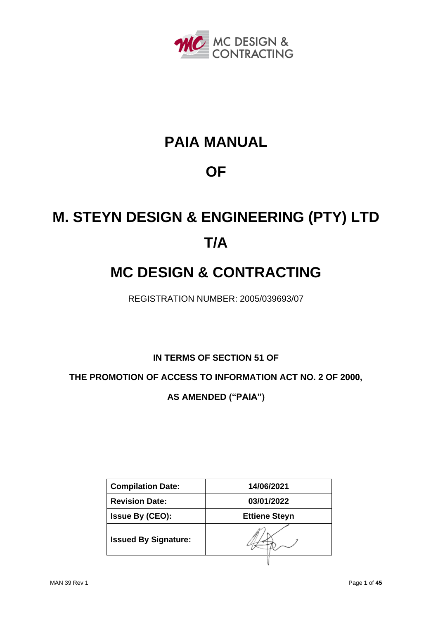

# **PAIA MANUAL**

# **OF**

# **M. STEYN DESIGN & ENGINEERING (PTY) LTD T/A**

# **MC DESIGN & CONTRACTING**

REGISTRATION NUMBER: 2005/039693/07

**IN TERMS OF SECTION 51 OF** 

**THE PROMOTION OF ACCESS TO INFORMATION ACT NO. 2 OF 2000,**

**AS AMENDED ("PAIA")**

| <b>Compilation Date:</b>    | 14/06/2021           |
|-----------------------------|----------------------|
| <b>Revision Date:</b>       | 03/01/2022           |
| <b>Issue By (CEO):</b>      | <b>Ettiene Steyn</b> |
| <b>Issued By Signature:</b> |                      |
|                             |                      |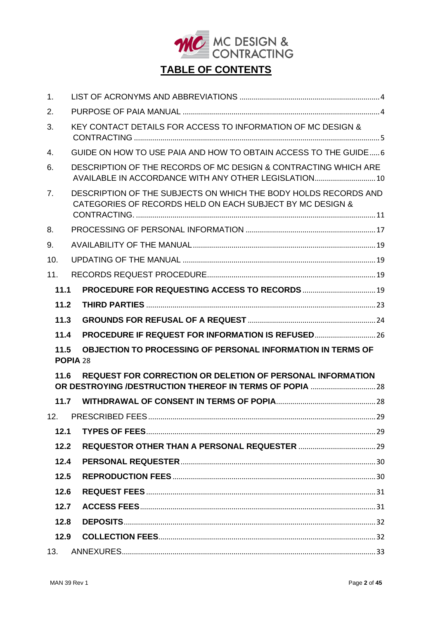

| 1.             |                                                                                                                              |  |  |  |  |  |
|----------------|------------------------------------------------------------------------------------------------------------------------------|--|--|--|--|--|
| 2.             |                                                                                                                              |  |  |  |  |  |
| 3.             | KEY CONTACT DETAILS FOR ACCESS TO INFORMATION OF MC DESIGN &                                                                 |  |  |  |  |  |
| 4.             | GUIDE ON HOW TO USE PAIA AND HOW TO OBTAIN ACCESS TO THE GUIDE6                                                              |  |  |  |  |  |
| 6.             | DESCRIPTION OF THE RECORDS OF MC DESIGN & CONTRACTING WHICH ARE<br>AVAILABLE IN ACCORDANCE WITH ANY OTHER LEGISLATION 10     |  |  |  |  |  |
| 7 <sub>1</sub> | DESCRIPTION OF THE SUBJECTS ON WHICH THE BODY HOLDS RECORDS AND<br>CATEGORIES OF RECORDS HELD ON EACH SUBJECT BY MC DESIGN & |  |  |  |  |  |
| 8.             |                                                                                                                              |  |  |  |  |  |
| 9.             |                                                                                                                              |  |  |  |  |  |
| 10.            |                                                                                                                              |  |  |  |  |  |
| 11.            |                                                                                                                              |  |  |  |  |  |
| 11.1           |                                                                                                                              |  |  |  |  |  |
| 11.2           |                                                                                                                              |  |  |  |  |  |
| 11.3           |                                                                                                                              |  |  |  |  |  |
| 11.4           | PROCEDURE IF REQUEST FOR INFORMATION IS REFUSED26                                                                            |  |  |  |  |  |
| 11.5           | OBJECTION TO PROCESSING OF PERSONAL INFORMATION IN TERMS OF<br>POPIA <sub>28</sub>                                           |  |  |  |  |  |
| 11.6           | <b>REQUEST FOR CORRECTION OR DELETION OF PERSONAL INFORMATION</b>                                                            |  |  |  |  |  |
| 11.7           |                                                                                                                              |  |  |  |  |  |
| 12.            |                                                                                                                              |  |  |  |  |  |
| 12.1           |                                                                                                                              |  |  |  |  |  |
| 12.2           |                                                                                                                              |  |  |  |  |  |
| 12.4           |                                                                                                                              |  |  |  |  |  |
| 12.5           |                                                                                                                              |  |  |  |  |  |
| 12.6           |                                                                                                                              |  |  |  |  |  |
| 12.7           |                                                                                                                              |  |  |  |  |  |
| 12.8           |                                                                                                                              |  |  |  |  |  |
| 12.9           |                                                                                                                              |  |  |  |  |  |
| 13.            |                                                                                                                              |  |  |  |  |  |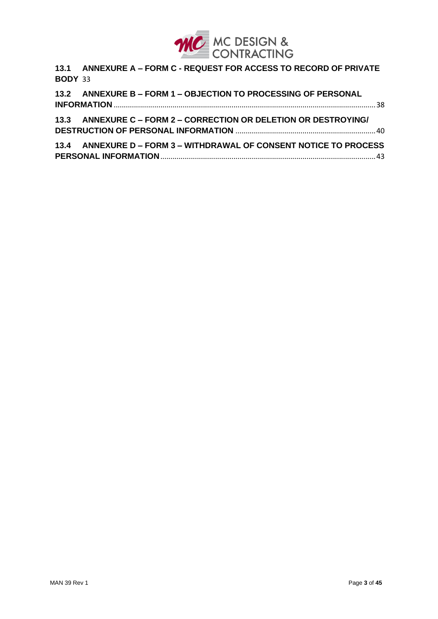

**13.1 ANNEXURE A – FORM C - [REQUEST FOR ACCESS TO RECORD OF PRIVATE](#page-32-1)  [BODY](#page-32-1)** 33

**13.2 ANNEXURE B – FORM 1 – [OBJECTION TO PROCESSING OF PERSONAL](#page-37-0)  INFORMATION** [.................................................................................................................................38](#page-37-0)

**13.3 ANNEXURE C – FORM 2 – [CORRECTION OR DELETION OR DESTROYING/](#page-39-0)  [DESTRUCTION OF PERSONAL INFORMATION](#page-39-0)** .....................................................................40

**13.4 ANNEXURE D – FORM 3 – [WITHDRAWAL OF CONSENT NOTICE TO PROCESS](#page-42-0)  PERSONAL INFORMATION**[..........................................................................................................43](#page-42-0)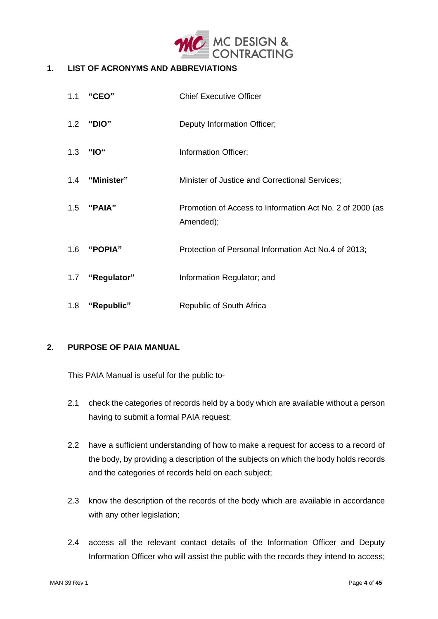

#### <span id="page-3-0"></span> $1.$ **1. LIST OF ACRONYMS AND ABBREVIATIONS**

| 1.1 | "CEO"           | <b>Chief Executive Officer</b>                                        |
|-----|-----------------|-----------------------------------------------------------------------|
|     | 1.2 "DIO"       | Deputy Information Officer;                                           |
| 1.3 | <b>"IO"</b>     | Information Officer;                                                  |
|     | 1.4 "Minister"  | Minister of Justice and Correctional Services;                        |
|     | 1.5 "PAIA"      | Promotion of Access to Information Act No. 2 of 2000 (as<br>Amended); |
| 1.6 | "POPIA"         | Protection of Personal Information Act No.4 of 2013;                  |
|     | 1.7 "Regulator" | Information Regulator; and                                            |
| 1.8 | "Republic"      | Republic of South Africa                                              |

#### <span id="page-3-1"></span>**2. PURPOSE OF PAIA MANUAL**

This PAIA Manual is useful for the public to-

- 2.1 check the categories of records held by a body which are available without a person having to submit a formal PAIA request;
- 2.2 have a sufficient understanding of how to make a request for access to a record of the body, by providing a description of the subjects on which the body holds records and the categories of records held on each subject;
- 2.3 know the description of the records of the body which are available in accordance with any other legislation;
- 2.4 access all the relevant contact details of the Information Officer and Deputy Information Officer who will assist the public with the records they intend to access;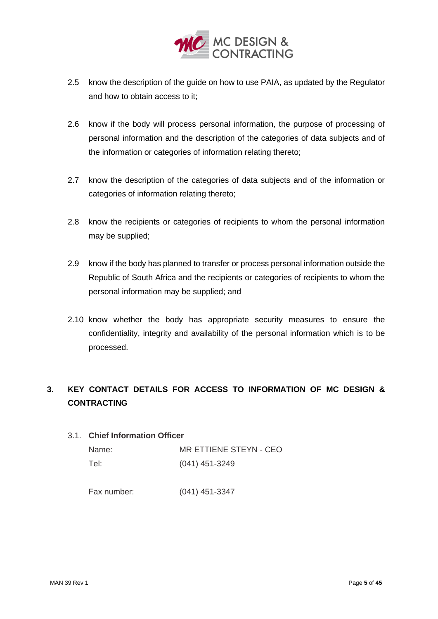

- 2.5 know the description of the guide on how to use PAIA, as updated by the Regulator and how to obtain access to it;
- 2.6 know if the body will process personal information, the purpose of processing of personal information and the description of the categories of data subjects and of the information or categories of information relating thereto;
- 2.7 know the description of the categories of data subjects and of the information or categories of information relating thereto;
- 2.8 know the recipients or categories of recipients to whom the personal information may be supplied;
- 2.9 know if the body has planned to transfer or process personal information outside the Republic of South Africa and the recipients or categories of recipients to whom the personal information may be supplied; and
- 2.10 know whether the body has appropriate security measures to ensure the confidentiality, integrity and availability of the personal information which is to be processed.

# <span id="page-4-0"></span>**3. KEY CONTACT DETAILS FOR ACCESS TO INFORMATION OF MC DESIGN & CONTRACTING**

#### 3.1. **Chief Information Officer**

| Name: | MR ETTIENE STEYN - CEO |
|-------|------------------------|
| Tel:  | (041) 451-3249         |

Fax number: (041) 451-3347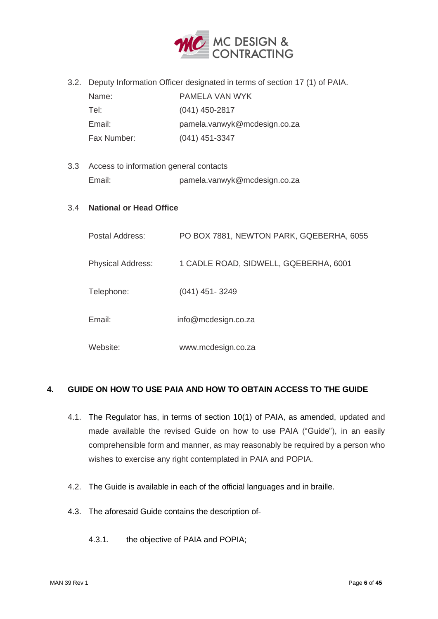

3.2. Deputy Information Officer designated in terms of section 17 (1) of PAIA.

| Name:       | PAMELA VAN WYK               |
|-------------|------------------------------|
| Tel:        | $(041)$ 450-2817             |
| Email:      | pamela.vanwyk@mcdesign.co.za |
| Fax Number: | $(041)$ 451-3347             |

3.3 Access to information general contacts Email: pamela.vanwyk@mcdesign.co.za

#### 3.4 **National or Head Office**

| Postal Address:          | PO BOX 7881, NEWTON PARK, GQEBERHA, 6055 |
|--------------------------|------------------------------------------|
| <b>Physical Address:</b> | 1 CADLE ROAD, SIDWELL, GQEBERHA, 6001    |
| Telephone:               | $(041)$ 451-3249                         |
| Email:                   | info@mcdesign.co.za                      |
| Website:                 | www.mcdesign.co.za                       |

#### <span id="page-5-0"></span>**4. GUIDE ON HOW TO USE PAIA AND HOW TO OBTAIN ACCESS TO THE GUIDE**

- 4.1. The Regulator has, in terms of section 10(1) of PAIA, as amended, updated and made available the revised Guide on how to use PAIA ("Guide"), in an easily comprehensible form and manner, as may reasonably be required by a person who wishes to exercise any right contemplated in PAIA and POPIA.
- 4.2. The Guide is available in each of the official languages and in braille.
- 4.3. The aforesaid Guide contains the description of-
	- 4.3.1. the objective of PAIA and POPIA;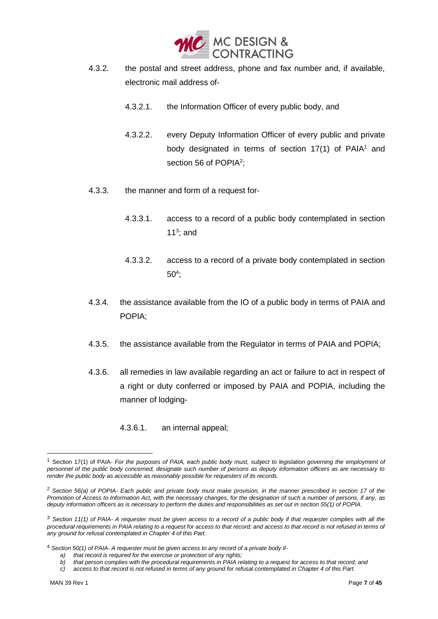

- 4.3.2. the postal and street address, phone and fax number and, if available, electronic mail address of-
	- 4.3.2.1. the Information Officer of every public body, and
	- 4.3.2.2. every Deputy Information Officer of every public and private body designated in terms of section  $17(1)$  of PAIA<sup>1</sup> and section 56 of POPIA<sup>2</sup>;
- 4.3.3. the manner and form of a request for-
	- 4.3.3.1. access to a record of a public body contemplated in section 11 $3$ ; and
	- 4.3.3.2. access to a record of a private body contemplated in section  $50<sup>4</sup>$ ;
- 4.3.4. the assistance available from the IO of a public body in terms of PAIA and POPIA;
- 4.3.5. the assistance available from the Regulator in terms of PAIA and POPIA;
- 4.3.6. all remedies in law available regarding an act or failure to act in respect of a right or duty conferred or imposed by PAIA and POPIA, including the manner of lodging-
	- 4.3.6.1. an internal appeal;

<sup>4</sup> *Section 50(1) of PAIA- A requester must be given access to any record of a private body if-*

*b) that person complies with the procedural requirements in PAIA relating to a request for access to that record; and*

<sup>1</sup> Section 17(1) of PAIA- *For the purposes of PAIA, each public body must, subject to legislation governing the employment of personnel of the public body concerned, designate such number of persons as deputy information officers as are necessary to render the public body as accessible as reasonably possible for requesters of its records.*

*<sup>2</sup> Section 56(a) of POPIA- Each public and private body must make provision, in the manner prescribed in section 17 of the Promotion of Access to Information Act, with the necessary changes, for the designation of such a number of persons, if any, as deputy information officers as is necessary to perform the duties and responsibilities as set out in section 55(1) of POPIA.*

*<sup>3</sup> Section 11(1) of PAIA- A requester must be given access to a record of a public body if that requester complies with all the procedural requirements in PAIA relating to a request for access to that record; and access to that record is not refused in terms of any ground for refusal contemplated in Chapter 4 of this Part.*

*a) that record is required for the exercise or protection of any rights;*

*c) access to that record is not refused in terms of any ground for refusal contemplated in Chapter 4 of this Part.*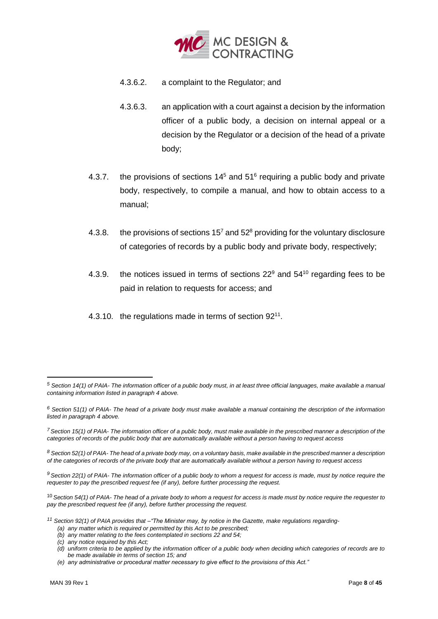

- 4.3.6.2. a complaint to the Regulator; and
- 4.3.6.3. an application with a court against a decision by the information officer of a public body, a decision on internal appeal or a decision by the Regulator or a decision of the head of a private body;
- 4.3.7. the provisions of sections  $14<sup>5</sup>$  and  $51<sup>6</sup>$  requiring a public body and private body, respectively, to compile a manual, and how to obtain access to a manual;
- 4.3.8. the provisions of sections  $15<sup>7</sup>$  and  $52<sup>8</sup>$  providing for the voluntary disclosure of categories of records by a public body and private body, respectively;
- 4.3.9. the notices issued in terms of sections  $22^9$  and  $54^{10}$  regarding fees to be paid in relation to requests for access; and
- 4.3.10. the regulations made in terms of section 92<sup>11</sup>.

*<sup>5</sup> Section 14(1) of PAIA- The information officer of a public body must, in at least three official languages, make available a manual containing information listed in paragraph 4 above.*

*<sup>6</sup> Section 51(1) of PAIA- The head of a private body must make available a manual containing the description of the information listed in paragraph 4 above.*

*<sup>7</sup>Section 15(1) of PAIA- The information officer of a public body, must make available in the prescribed manner a description of the categories of records of the public body that are automatically available without a person having to request access*

*<sup>8</sup> Section 52(1) of PAIA- The head of a private body may, on a voluntary basis, make available in the prescribed manner a description of the categories of records of the private body that are automatically available without a person having to request access*

*<sup>9</sup> Section 22(1) of PAIA- The information officer of a public body to whom a request for access is made, must by notice require the requester to pay the prescribed request fee (if any), before further processing the request.*

<sup>10</sup> *Section 54(1) of PAIA- The head of a private body to whom a request for access is made must by notice require the requester to pay the prescribed request fee (if any), before further processing the request.*

*<sup>11</sup> Section 92(1) of PAIA provides that –"The Minister may, by notice in the Gazette, make regulations regarding-*

*<sup>(</sup>a) any matter which is required or permitted by this Act to be prescribed;*

*<sup>(</sup>b) any matter relating to the fees contemplated in sections 22 and 54;*

*<sup>(</sup>c) any notice required by this Act;*

*<sup>(</sup>d) uniform criteria to be applied by the information officer of a public body when deciding which categories of records are to be made available in terms of section 15; and*

*<sup>(</sup>e) any administrative or procedural matter necessary to give effect to the provisions of this Act."*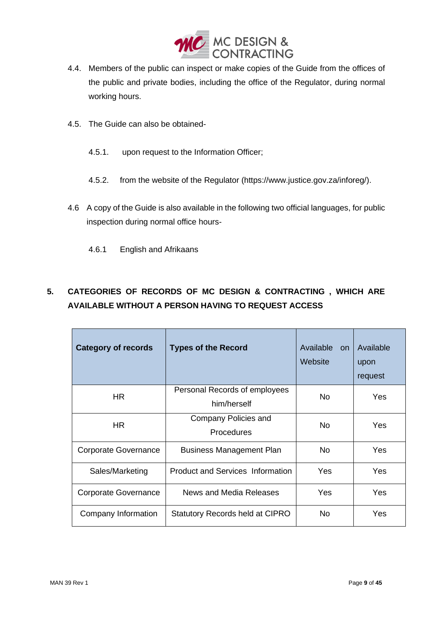

- 4.4. Members of the public can inspect or make copies of the Guide from the offices of the public and private bodies, including the office of the Regulator, during normal working hours.
- 4.5. The Guide can also be obtained-
	- 4.5.1. upon request to the Information Officer;
	- 4.5.2. from the website of the Regulator (https://www.justice.gov.za/inforeg/).
- 4.6 A copy of the Guide is also available in the following two official languages, for public inspection during normal office hours-
	- 4.6.1 English and Afrikaans

# **5. CATEGORIES OF RECORDS OF MC DESIGN & CONTRACTING , WHICH ARE AVAILABLE WITHOUT A PERSON HAVING TO REQUEST ACCESS**

| <b>Category of records</b>  | <b>Types of the Record</b>                   | Available<br><b>on</b><br>Website | Available<br>upon<br>request |
|-----------------------------|----------------------------------------------|-----------------------------------|------------------------------|
| HR.                         | Personal Records of employees<br>him/herself | No.                               | Yes                          |
| <b>HR</b>                   | Company Policies and<br><b>Procedures</b>    | <b>No</b>                         | Yes                          |
| <b>Corporate Governance</b> | <b>Business Management Plan</b>              | <b>No</b>                         | Yes                          |
| Sales/Marketing             | <b>Product and Services Information</b>      | Yes                               | Yes                          |
| Corporate Governance        | News and Media Releases                      | Yes                               | Yes                          |
| Company Information         | <b>Statutory Records held at CIPRO</b>       | No.                               | Yes                          |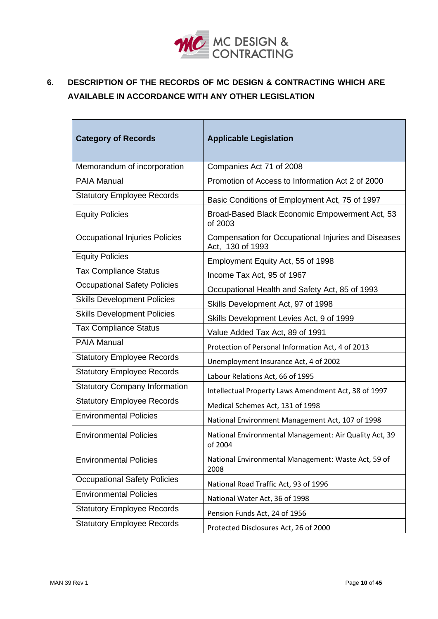

# <span id="page-9-0"></span>**6. DESCRIPTION OF THE RECORDS OF MC DESIGN & CONTRACTING WHICH ARE AVAILABLE IN ACCORDANCE WITH ANY OTHER LEGISLATION**

| <b>Category of Records</b>            | <b>Applicable Legislation</b>                                           |
|---------------------------------------|-------------------------------------------------------------------------|
| Memorandum of incorporation           | Companies Act 71 of 2008                                                |
| <b>PAIA Manual</b>                    | Promotion of Access to Information Act 2 of 2000                        |
| <b>Statutory Employee Records</b>     | Basic Conditions of Employment Act, 75 of 1997                          |
| <b>Equity Policies</b>                | Broad-Based Black Economic Empowerment Act, 53<br>of 2003               |
| <b>Occupational Injuries Policies</b> | Compensation for Occupational Injuries and Diseases<br>Act, 130 of 1993 |
| <b>Equity Policies</b>                | Employment Equity Act, 55 of 1998                                       |
| <b>Tax Compliance Status</b>          | Income Tax Act, 95 of 1967                                              |
| <b>Occupational Safety Policies</b>   | Occupational Health and Safety Act, 85 of 1993                          |
| <b>Skills Development Policies</b>    | Skills Development Act, 97 of 1998                                      |
| <b>Skills Development Policies</b>    | Skills Development Levies Act, 9 of 1999                                |
| <b>Tax Compliance Status</b>          | Value Added Tax Act, 89 of 1991                                         |
| <b>PAIA Manual</b>                    | Protection of Personal Information Act, 4 of 2013                       |
| <b>Statutory Employee Records</b>     | Unemployment Insurance Act, 4 of 2002                                   |
| <b>Statutory Employee Records</b>     | Labour Relations Act, 66 of 1995                                        |
| <b>Statutory Company Information</b>  | Intellectual Property Laws Amendment Act, 38 of 1997                    |
| <b>Statutory Employee Records</b>     | Medical Schemes Act, 131 of 1998                                        |
| <b>Environmental Policies</b>         | National Environment Management Act, 107 of 1998                        |
| <b>Environmental Policies</b>         | National Environmental Management: Air Quality Act, 39<br>of 2004       |
| <b>Environmental Policies</b>         | National Environmental Management: Waste Act, 59 of<br>2008             |
| <b>Occupational Safety Policies</b>   | National Road Traffic Act, 93 of 1996                                   |
| <b>Environmental Policies</b>         | National Water Act, 36 of 1998                                          |
| <b>Statutory Employee Records</b>     | Pension Funds Act, 24 of 1956                                           |
| <b>Statutory Employee Records</b>     | Protected Disclosures Act, 26 of 2000                                   |

 $\mathbf{r}$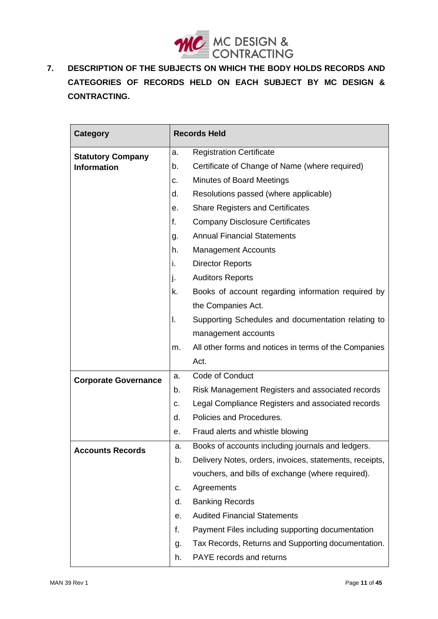

<span id="page-10-0"></span> $\overline{7}$ . **7. DESCRIPTION OF THE SUBJECTS ON WHICH THE BODY HOLDS RECORDS AND CATEGORIES OF RECORDS HELD ON EACH SUBJECT BY MC DESIGN & CONTRACTING.**

| <b>Category</b>             | <b>Records Held</b> |                                                         |
|-----------------------------|---------------------|---------------------------------------------------------|
| <b>Statutory Company</b>    | a.                  | <b>Registration Certificate</b>                         |
| <b>Information</b>          | b.                  | Certificate of Change of Name (where required)          |
|                             | c.                  | Minutes of Board Meetings                               |
|                             | d.                  | Resolutions passed (where applicable)                   |
|                             | е.                  | <b>Share Registers and Certificates</b>                 |
|                             | f.                  | <b>Company Disclosure Certificates</b>                  |
|                             | g.                  | <b>Annual Financial Statements</b>                      |
|                             | h.                  | <b>Management Accounts</b>                              |
|                             | i.                  | <b>Director Reports</b>                                 |
|                             | j.                  | <b>Auditors Reports</b>                                 |
|                             | k.                  | Books of account regarding information required by      |
|                             |                     | the Companies Act.                                      |
|                             | I.                  | Supporting Schedules and documentation relating to      |
|                             |                     | management accounts                                     |
|                             | m.                  | All other forms and notices in terms of the Companies   |
|                             |                     | Act.                                                    |
| <b>Corporate Governance</b> | a.                  | Code of Conduct                                         |
|                             | b.                  | Risk Management Registers and associated records        |
|                             | c.                  | Legal Compliance Registers and associated records       |
|                             | d.                  | Policies and Procedures.                                |
|                             | е.                  | Fraud alerts and whistle blowing                        |
| <b>Accounts Records</b>     | a.                  | Books of accounts including journals and ledgers.       |
|                             | b.                  | Delivery Notes, orders, invoices, statements, receipts, |
|                             |                     | vouchers, and bills of exchange (where required).       |
|                             | c.                  | Agreements                                              |
|                             | d.                  | <b>Banking Records</b>                                  |
|                             | е.                  | <b>Audited Financial Statements</b>                     |
|                             | f.                  | Payment Files including supporting documentation        |
|                             | g.                  | Tax Records, Returns and Supporting documentation.      |
|                             | h.                  | PAYE records and returns                                |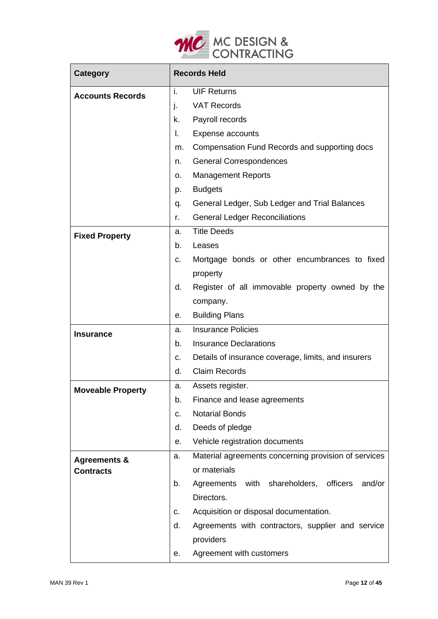

| <b>Category</b>          | <b>Records Held</b> |                                                      |
|--------------------------|---------------------|------------------------------------------------------|
| <b>Accounts Records</b>  | i.                  | <b>UIF Returns</b>                                   |
|                          | j.                  | <b>VAT Records</b>                                   |
|                          | k.                  | Payroll records                                      |
|                          | I.                  | <b>Expense accounts</b>                              |
|                          | m.                  | Compensation Fund Records and supporting docs        |
|                          | n.                  | <b>General Correspondences</b>                       |
|                          | ο.                  | <b>Management Reports</b>                            |
|                          | p.                  | <b>Budgets</b>                                       |
|                          | q.                  | General Ledger, Sub Ledger and Trial Balances        |
|                          | r.                  | <b>General Ledger Reconciliations</b>                |
| <b>Fixed Property</b>    | a.                  | <b>Title Deeds</b>                                   |
|                          | b.                  | Leases                                               |
|                          | c.                  | Mortgage bonds or other encumbrances to fixed        |
|                          |                     | property                                             |
|                          | d.                  | Register of all immovable property owned by the      |
|                          |                     | company.                                             |
|                          | е.                  | <b>Building Plans</b>                                |
| <b>Insurance</b>         | a.                  | <b>Insurance Policies</b>                            |
|                          | b.                  | <b>Insurance Declarations</b>                        |
|                          | c.                  | Details of insurance coverage, limits, and insurers  |
|                          | d.                  | <b>Claim Records</b>                                 |
| <b>Moveable Property</b> | a.                  | Assets register.                                     |
|                          | b.                  | Finance and lease agreements                         |
|                          | c.                  | <b>Notarial Bonds</b>                                |
|                          | d.                  | Deeds of pledge                                      |
|                          | е.                  | Vehicle registration documents                       |
| <b>Agreements &amp;</b>  | a.                  | Material agreements concerning provision of services |
| <b>Contracts</b>         |                     | or materials                                         |
|                          | b.                  | Agreements with shareholders, officers<br>and/or     |
|                          |                     | Directors.                                           |
|                          | c.                  | Acquisition or disposal documentation.               |
|                          | d.                  | Agreements with contractors, supplier and service    |
|                          |                     | providers                                            |
|                          | е.                  | Agreement with customers                             |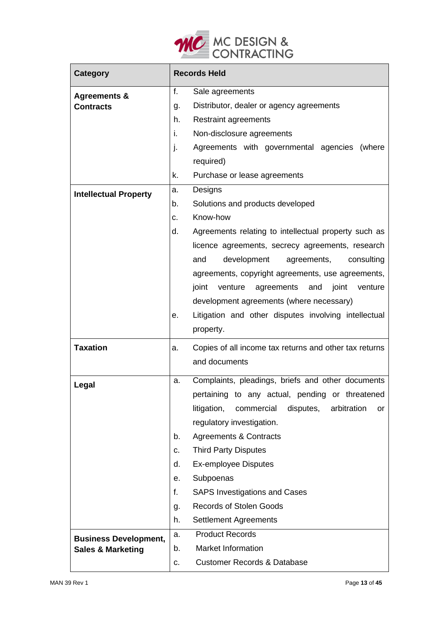

| <b>Category</b>                             | <b>Records Held</b> |                                                             |
|---------------------------------------------|---------------------|-------------------------------------------------------------|
| <b>Agreements &amp;</b><br><b>Contracts</b> |                     | Sale agreements                                             |
|                                             |                     | Distributor, dealer or agency agreements                    |
|                                             | h.                  | <b>Restraint agreements</b>                                 |
|                                             | i.                  | Non-disclosure agreements                                   |
|                                             | $\mathbf{I}$        | Agreements with governmental agencies<br>(where             |
|                                             |                     | required)                                                   |
|                                             | k.                  | Purchase or lease agreements                                |
| <b>Intellectual Property</b>                | a.                  | Designs                                                     |
|                                             | b.                  | Solutions and products developed                            |
|                                             | c.                  | Know-how                                                    |
|                                             | d.                  | Agreements relating to intellectual property such as        |
|                                             |                     | licence agreements, secrecy agreements, research            |
|                                             |                     | development<br>and<br>agreements,<br>consulting             |
|                                             |                     | agreements, copyright agreements, use agreements,           |
|                                             |                     | joint<br>venture<br>agreements<br>and<br>joint<br>venture   |
|                                             |                     | development agreements (where necessary)                    |
|                                             | е.                  | Litigation and other disputes involving intellectual        |
|                                             |                     | property.                                                   |
| <b>Taxation</b>                             | a.                  | Copies of all income tax returns and other tax returns      |
|                                             |                     | and documents                                               |
|                                             | a.                  | Complaints, pleadings, briefs and other documents           |
| Legal                                       |                     | pertaining to any actual, pending or threatened             |
|                                             |                     | litigation,<br>commercial<br>disputes,<br>arbitration<br>or |
|                                             |                     | regulatory investigation.                                   |
|                                             | b.                  | <b>Agreements &amp; Contracts</b>                           |
|                                             | c.                  | <b>Third Party Disputes</b>                                 |
|                                             | d.                  | <b>Ex-employee Disputes</b>                                 |
|                                             | е.                  | Subpoenas                                                   |
|                                             | f.                  | <b>SAPS Investigations and Cases</b>                        |
|                                             | g.                  | <b>Records of Stolen Goods</b>                              |
|                                             | h.                  | <b>Settlement Agreements</b>                                |
| <b>Business Development,</b>                | a.                  | <b>Product Records</b>                                      |
| <b>Sales &amp; Marketing</b>                | b.                  | <b>Market Information</b>                                   |
|                                             | c.                  | <b>Customer Records &amp; Database</b>                      |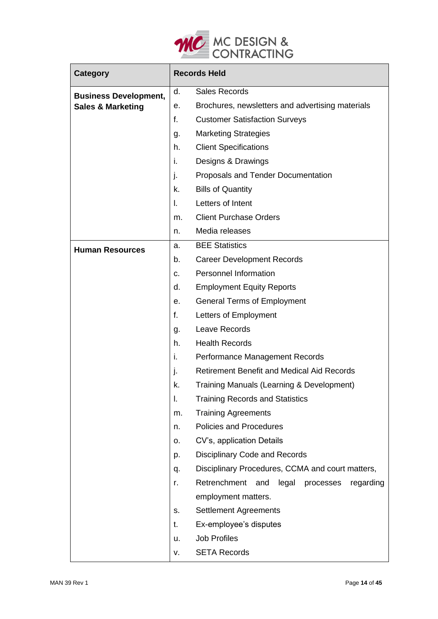

| <b>Category</b>              | <b>Records Held</b> |                                                     |
|------------------------------|---------------------|-----------------------------------------------------|
| <b>Business Development,</b> | d.                  | <b>Sales Records</b>                                |
| <b>Sales &amp; Marketing</b> | е.                  | Brochures, newsletters and advertising materials    |
|                              | f.                  | <b>Customer Satisfaction Surveys</b>                |
|                              | g.                  | <b>Marketing Strategies</b>                         |
|                              | h.                  | <b>Client Specifications</b>                        |
|                              | i.                  | Designs & Drawings                                  |
|                              | j.                  | Proposals and Tender Documentation                  |
|                              | k.                  | <b>Bills of Quantity</b>                            |
|                              | L.                  | Letters of Intent                                   |
|                              | m.                  | <b>Client Purchase Orders</b>                       |
|                              | n.                  | Media releases                                      |
| <b>Human Resources</b>       | a.                  | <b>BEE Statistics</b>                               |
|                              | b.                  | <b>Career Development Records</b>                   |
|                              | C.                  | Personnel Information                               |
|                              | d.                  | <b>Employment Equity Reports</b>                    |
|                              | е.                  | <b>General Terms of Employment</b>                  |
|                              | f.                  | Letters of Employment                               |
|                              | g.                  | Leave Records                                       |
|                              | h.                  | <b>Health Records</b>                               |
|                              | i.                  | Performance Management Records                      |
|                              | j.                  | <b>Retirement Benefit and Medical Aid Records</b>   |
|                              | k.                  | Training Manuals (Learning & Development)           |
|                              | I.                  | <b>Training Records and Statistics</b>              |
|                              | m.                  | <b>Training Agreements</b>                          |
|                              | n.                  | <b>Policies and Procedures</b>                      |
|                              | о.                  | CV's, application Details                           |
|                              | p.                  | <b>Disciplinary Code and Records</b>                |
|                              | q.                  | Disciplinary Procedures, CCMA and court matters,    |
|                              | r.                  | Retrenchment<br>legal processes<br>and<br>regarding |
|                              |                     | employment matters.                                 |
|                              | S.                  | <b>Settlement Agreements</b>                        |
|                              | t.                  | Ex-employee's disputes                              |
|                              | u.                  | <b>Job Profiles</b>                                 |
|                              | ν.                  | <b>SETA Records</b>                                 |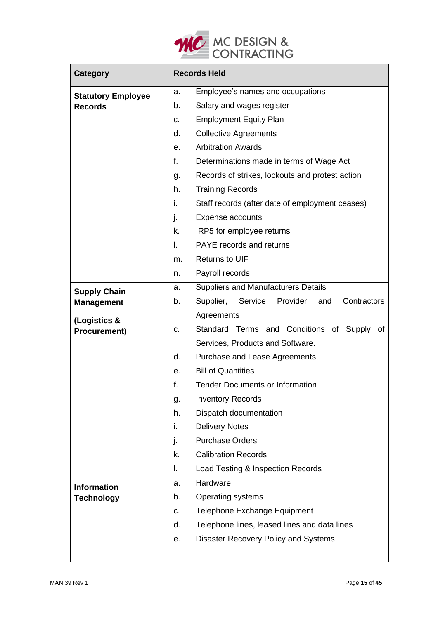

| <b>Category</b>           | <b>Records Held</b> |                                                     |  |  |  |  |  |
|---------------------------|---------------------|-----------------------------------------------------|--|--|--|--|--|
| <b>Statutory Employee</b> | a.                  | Employee's names and occupations                    |  |  |  |  |  |
| <b>Records</b>            | b.                  | Salary and wages register                           |  |  |  |  |  |
|                           | C.                  | <b>Employment Equity Plan</b>                       |  |  |  |  |  |
|                           | d.                  | <b>Collective Agreements</b>                        |  |  |  |  |  |
|                           | е.                  | <b>Arbitration Awards</b>                           |  |  |  |  |  |
|                           | f.                  | Determinations made in terms of Wage Act            |  |  |  |  |  |
|                           | g.                  | Records of strikes, lockouts and protest action     |  |  |  |  |  |
|                           | h.                  | <b>Training Records</b>                             |  |  |  |  |  |
|                           | i.                  | Staff records (after date of employment ceases)     |  |  |  |  |  |
|                           | j.                  | <b>Expense accounts</b>                             |  |  |  |  |  |
|                           | k.                  | IRP5 for employee returns                           |  |  |  |  |  |
|                           | I.                  | PAYE records and returns                            |  |  |  |  |  |
|                           | m.                  | <b>Returns to UIF</b>                               |  |  |  |  |  |
|                           | n.                  | Payroll records                                     |  |  |  |  |  |
| <b>Supply Chain</b>       | a.                  | <b>Suppliers and Manufacturers Details</b>          |  |  |  |  |  |
| <b>Management</b>         | b.                  | Supplier, Service<br>Provider<br>Contractors<br>and |  |  |  |  |  |
| (Logistics &              |                     | Agreements                                          |  |  |  |  |  |
| <b>Procurement)</b>       | C.                  | Standard Terms and Conditions of Supply of          |  |  |  |  |  |
|                           |                     | Services, Products and Software.                    |  |  |  |  |  |
|                           | d.                  | Purchase and Lease Agreements                       |  |  |  |  |  |
|                           | е.                  | <b>Bill of Quantities</b>                           |  |  |  |  |  |
|                           | f.                  | <b>Tender Documents or Information</b>              |  |  |  |  |  |
|                           | g.                  | <b>Inventory Records</b>                            |  |  |  |  |  |
|                           | h.                  | Dispatch documentation                              |  |  |  |  |  |
|                           | i.                  | <b>Delivery Notes</b>                               |  |  |  |  |  |
|                           | j.                  | <b>Purchase Orders</b>                              |  |  |  |  |  |
|                           | k.                  | <b>Calibration Records</b>                          |  |  |  |  |  |
|                           | I.                  | Load Testing & Inspection Records                   |  |  |  |  |  |
| <b>Information</b>        | a.                  | Hardware                                            |  |  |  |  |  |
| <b>Technology</b>         | b.                  | <b>Operating systems</b>                            |  |  |  |  |  |
|                           | c.                  | <b>Telephone Exchange Equipment</b>                 |  |  |  |  |  |
|                           | d.                  | Telephone lines, leased lines and data lines        |  |  |  |  |  |
|                           | е.                  | Disaster Recovery Policy and Systems                |  |  |  |  |  |
|                           |                     |                                                     |  |  |  |  |  |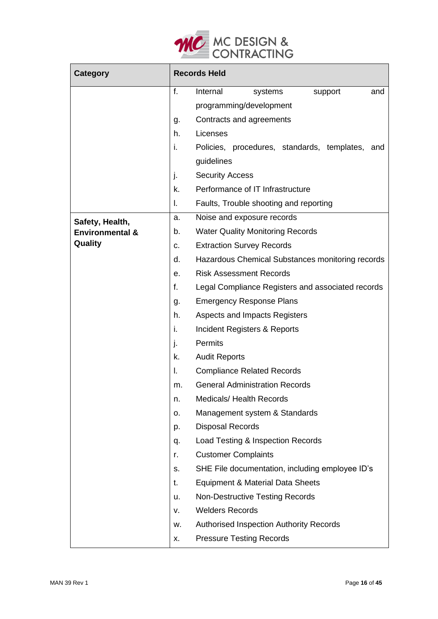

| <b>Category</b>            | <b>Records Held</b> |                                                    |  |  |  |  |  |
|----------------------------|---------------------|----------------------------------------------------|--|--|--|--|--|
|                            | f.                  | Internal<br>systems<br>support<br>and              |  |  |  |  |  |
|                            |                     | programming/development                            |  |  |  |  |  |
|                            | g.                  | Contracts and agreements                           |  |  |  |  |  |
|                            | h.                  | Licenses                                           |  |  |  |  |  |
|                            | İ.                  | Policies, procedures, standards, templates,<br>and |  |  |  |  |  |
|                            |                     | guidelines                                         |  |  |  |  |  |
|                            | j.                  | <b>Security Access</b>                             |  |  |  |  |  |
|                            | k.                  | Performance of IT Infrastructure                   |  |  |  |  |  |
|                            | I.                  | Faults, Trouble shooting and reporting             |  |  |  |  |  |
| Safety, Health,            | a.                  | Noise and exposure records                         |  |  |  |  |  |
| <b>Environmental &amp;</b> | b.                  | <b>Water Quality Monitoring Records</b>            |  |  |  |  |  |
| Quality                    | c.                  | <b>Extraction Survey Records</b>                   |  |  |  |  |  |
|                            | d.                  | Hazardous Chemical Substances monitoring records   |  |  |  |  |  |
|                            | е.                  | <b>Risk Assessment Records</b>                     |  |  |  |  |  |
|                            | f.                  | Legal Compliance Registers and associated records  |  |  |  |  |  |
|                            | g.                  | <b>Emergency Response Plans</b>                    |  |  |  |  |  |
|                            | h.                  | Aspects and Impacts Registers                      |  |  |  |  |  |
|                            | i.                  | Incident Registers & Reports                       |  |  |  |  |  |
|                            | J.                  | <b>Permits</b>                                     |  |  |  |  |  |
|                            | k.                  | <b>Audit Reports</b>                               |  |  |  |  |  |
|                            | I.                  | <b>Compliance Related Records</b>                  |  |  |  |  |  |
|                            | m.                  | <b>General Administration Records</b>              |  |  |  |  |  |
|                            | n.                  | <b>Medicals/ Health Records</b>                    |  |  |  |  |  |
|                            | о.                  | Management system & Standards                      |  |  |  |  |  |
|                            | p.                  | <b>Disposal Records</b>                            |  |  |  |  |  |
|                            | q.                  | Load Testing & Inspection Records                  |  |  |  |  |  |
|                            | r.                  | <b>Customer Complaints</b>                         |  |  |  |  |  |
|                            | s.                  | SHE File documentation, including employee ID's    |  |  |  |  |  |
|                            | t.                  | Equipment & Material Data Sheets                   |  |  |  |  |  |
|                            | u.                  | Non-Destructive Testing Records                    |  |  |  |  |  |
|                            | ν.                  | <b>Welders Records</b>                             |  |  |  |  |  |
|                            | w.                  | <b>Authorised Inspection Authority Records</b>     |  |  |  |  |  |
|                            | х.                  | <b>Pressure Testing Records</b>                    |  |  |  |  |  |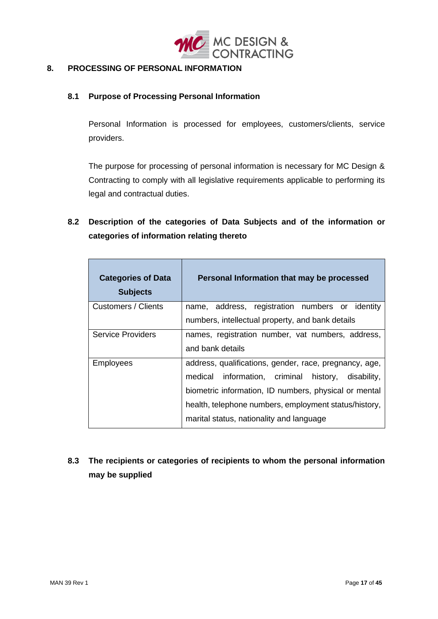

#### <span id="page-16-0"></span>8. **8. PROCESSING OF PERSONAL INFORMATION**

#### **8.1 Purpose of Processing Personal Information**

Personal Information is processed for employees, customers/clients, service providers.

The purpose for processing of personal information is necessary for MC Design & Contracting to comply with all legislative requirements applicable to performing its legal and contractual duties.

### **8.2 Description of the categories of Data Subjects and of the information or categories of information relating thereto**

| <b>Categories of Data</b><br><b>Subjects</b> | Personal Information that may be processed             |
|----------------------------------------------|--------------------------------------------------------|
| Customers / Clients                          | name, address, registration numbers or identity        |
|                                              | numbers, intellectual property, and bank details       |
| <b>Service Providers</b>                     | names, registration number, vat numbers, address,      |
|                                              | and bank details                                       |
| <b>Employees</b>                             | address, qualifications, gender, race, pregnancy, age, |
|                                              | medical information, criminal history, disability,     |
|                                              | biometric information, ID numbers, physical or mental  |
|                                              | health, telephone numbers, employment status/history,  |
|                                              | marital status, nationality and language               |

## **8.3 The recipients or categories of recipients to whom the personal information may be supplied**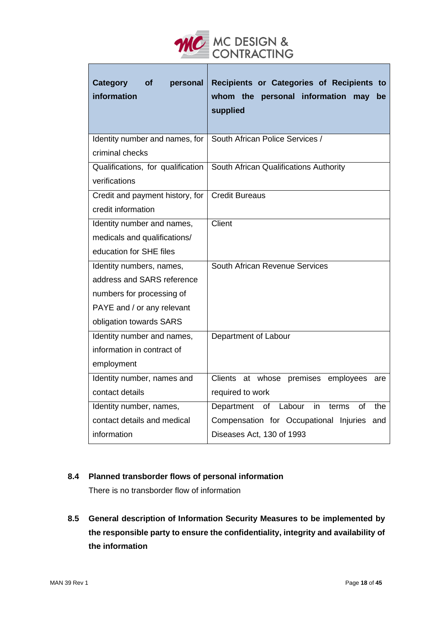

| <b>Category</b><br>personal<br>οf<br>information | Recipients or Categories of Recipients to<br>whom the personal information<br>may<br>be<br>supplied |
|--------------------------------------------------|-----------------------------------------------------------------------------------------------------|
| Identity number and names, for                   | South African Police Services /                                                                     |
| criminal checks                                  |                                                                                                     |
| Qualifications, for qualification                | South African Qualifications Authority                                                              |
| verifications                                    |                                                                                                     |
| Credit and payment history, for                  | <b>Credit Bureaus</b>                                                                               |
| credit information                               |                                                                                                     |
| Identity number and names,                       | Client                                                                                              |
| medicals and qualifications/                     |                                                                                                     |
| education for SHE files                          |                                                                                                     |
| Identity numbers, names,                         | South African Revenue Services                                                                      |
| address and SARS reference                       |                                                                                                     |
| numbers for processing of                        |                                                                                                     |
| PAYE and / or any relevant                       |                                                                                                     |
| obligation towards SARS                          |                                                                                                     |
| Identity number and names,                       | Department of Labour                                                                                |
| information in contract of                       |                                                                                                     |
| employment                                       |                                                                                                     |
| Identity number, names and                       | Clients at whose premises employees<br>are                                                          |
| contact details                                  | required to work                                                                                    |
| Identity number, names,                          | in<br>Department<br>of<br>Labour<br>terms<br>Ωf<br>the                                              |
| contact details and medical                      | Compensation for Occupational Injuries<br>and                                                       |
| information                                      | Diseases Act, 130 of 1993                                                                           |

#### **8.4 Planned transborder flows of personal information**

There is no transborder flow of information

**8.5 General description of Information Security Measures to be implemented by the responsible party to ensure the confidentiality, integrity and availability of the information**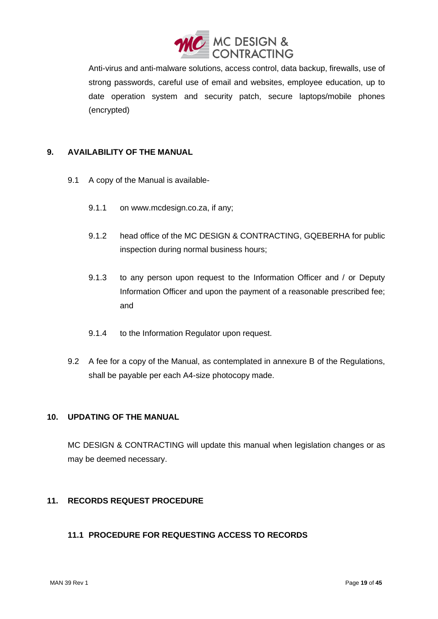

Anti-virus and anti-malware solutions, access control, data backup, firewalls, use of strong passwords, careful use of email and websites, employee education, up to date operation system and security patch, secure laptops/mobile phones (encrypted)

#### <span id="page-18-0"></span>**9. AVAILABILITY OF THE MANUAL**

- 9.1 A copy of the Manual is available-
	- 9.1.1 on www.mcdesign.co.za, if any;
	- 9.1.2 head office of the MC DESIGN & CONTRACTING, GQEBERHA for public inspection during normal business hours;
	- 9.1.3 to any person upon request to the Information Officer and / or Deputy Information Officer and upon the payment of a reasonable prescribed fee; and
	- 9.1.4 to the Information Regulator upon request.
- 9.2 A fee for a copy of the Manual, as contemplated in annexure B of the Regulations, shall be payable per each A4-size photocopy made.

#### <span id="page-18-1"></span>**10. UPDATING OF THE MANUAL**

MC DESIGN & CONTRACTING will update this manual when legislation changes or as may be deemed necessary.

### <span id="page-18-2"></span>**11. RECORDS REQUEST PROCEDURE**

### <span id="page-18-3"></span>**11.1 PROCEDURE FOR REQUESTING ACCESS TO RECORDS**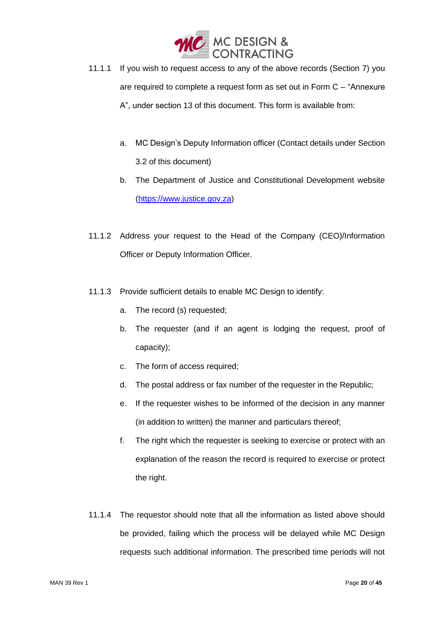

- 11.1.1 If you wish to request access to any of the above records (Section 7) you are required to complete a request form as set out in Form C – "Annexure A", under section 13 of this document. This form is available from:
	- a. MC Design's Deputy Information officer (Contact details under Section 3.2 of this document)
	- b. The Department of Justice and Constitutional Development website [\(https://www.justice.gov.za\)](https://www.justice.gov.za/)
- 11.1.2 Address your request to the Head of the Company (CEO)/Information Officer or Deputy Information Officer.
- 11.1.3 Provide sufficient details to enable MC Design to identify:
	- a. The record (s) requested;
	- b. The requester (and if an agent is lodging the request, proof of capacity);
	- c. The form of access required;
	- d. The postal address or fax number of the requester in the Republic;
	- e. If the requester wishes to be informed of the decision in any manner (in addition to written) the manner and particulars thereof;
	- f. The right which the requester is seeking to exercise or protect with an explanation of the reason the record is required to exercise or protect the right.
- 11.1.4 The requestor should note that all the information as listed above should be provided, failing which the process will be delayed while MC Design requests such additional information. The prescribed time periods will not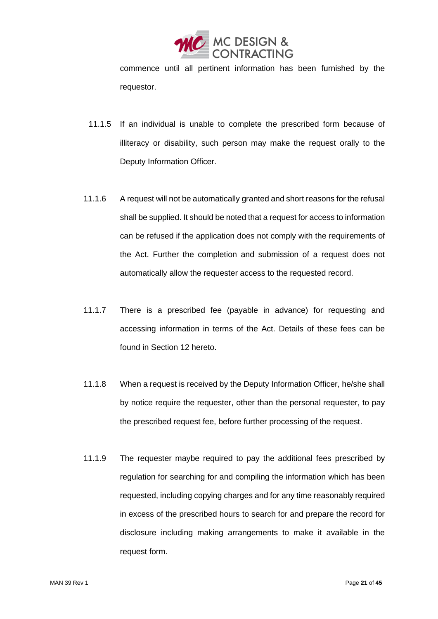

commence until all pertinent information has been furnished by the requestor.

- 11.1.5 If an individual is unable to complete the prescribed form because of illiteracy or disability, such person may make the request orally to the Deputy Information Officer.
- 11.1.6 A request will not be automatically granted and short reasons for the refusal shall be supplied. It should be noted that a request for access to information can be refused if the application does not comply with the requirements of the Act. Further the completion and submission of a request does not automatically allow the requester access to the requested record.
- 11.1.7 There is a prescribed fee (payable in advance) for requesting and accessing information in terms of the Act. Details of these fees can be found in Section 12 hereto.
- 11.1.8 When a request is received by the Deputy Information Officer, he/she shall by notice require the requester, other than the personal requester, to pay the prescribed request fee, before further processing of the request.
- 11.1.9 The requester maybe required to pay the additional fees prescribed by regulation for searching for and compiling the information which has been requested, including copying charges and for any time reasonably required in excess of the prescribed hours to search for and prepare the record for disclosure including making arrangements to make it available in the request form.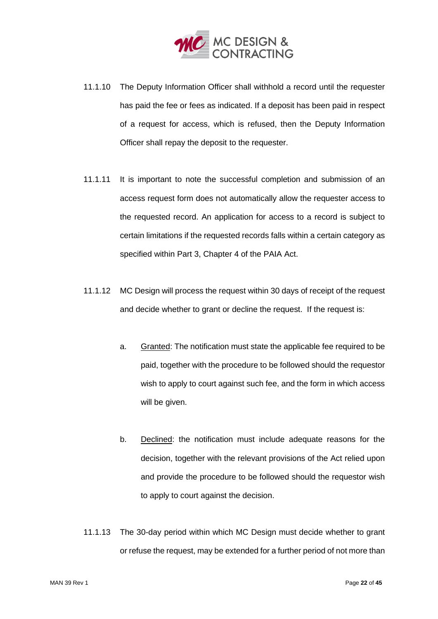

- 11.1.10 The Deputy Information Officer shall withhold a record until the requester has paid the fee or fees as indicated. If a deposit has been paid in respect of a request for access, which is refused, then the Deputy Information Officer shall repay the deposit to the requester.
- 11.1.11 It is important to note the successful completion and submission of an access request form does not automatically allow the requester access to the requested record. An application for access to a record is subject to certain limitations if the requested records falls within a certain category as specified within Part 3, Chapter 4 of the PAIA Act.
- 11.1.12 MC Design will process the request within 30 days of receipt of the request and decide whether to grant or decline the request. If the request is:
	- a. Granted: The notification must state the applicable fee required to be paid, together with the procedure to be followed should the requestor wish to apply to court against such fee, and the form in which access will be given.
	- b. Declined: the notification must include adequate reasons for the decision, together with the relevant provisions of the Act relied upon and provide the procedure to be followed should the requestor wish to apply to court against the decision.
- 11.1.13 The 30-day period within which MC Design must decide whether to grant or refuse the request, may be extended for a further period of not more than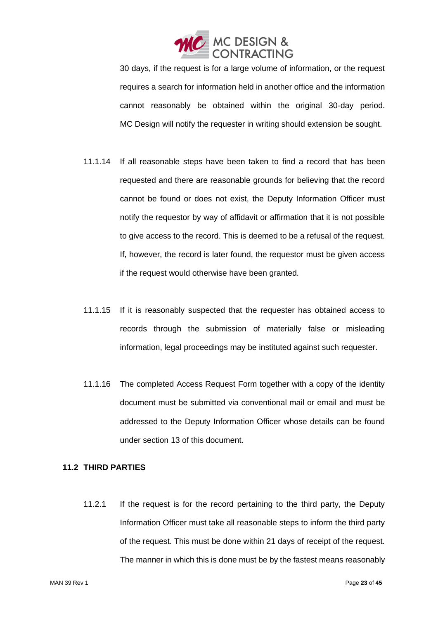

30 days, if the request is for a large volume of information, or the request requires a search for information held in another office and the information cannot reasonably be obtained within the original 30-day period. MC Design will notify the requester in writing should extension be sought.

- 11.1.14 If all reasonable steps have been taken to find a record that has been requested and there are reasonable grounds for believing that the record cannot be found or does not exist, the Deputy Information Officer must notify the requestor by way of affidavit or affirmation that it is not possible to give access to the record. This is deemed to be a refusal of the request. If, however, the record is later found, the requestor must be given access if the request would otherwise have been granted.
- 11.1.15 If it is reasonably suspected that the requester has obtained access to records through the submission of materially false or misleading information, legal proceedings may be instituted against such requester.
- 11.1.16 The completed Access Request Form together with a copy of the identity document must be submitted via conventional mail or email and must be addressed to the Deputy Information Officer whose details can be found under section 13 of this document.

#### <span id="page-22-0"></span>**11.2 THIRD PARTIES**

11.2.1 If the request is for the record pertaining to the third party, the Deputy Information Officer must take all reasonable steps to inform the third party of the request. This must be done within 21 days of receipt of the request. The manner in which this is done must be by the fastest means reasonably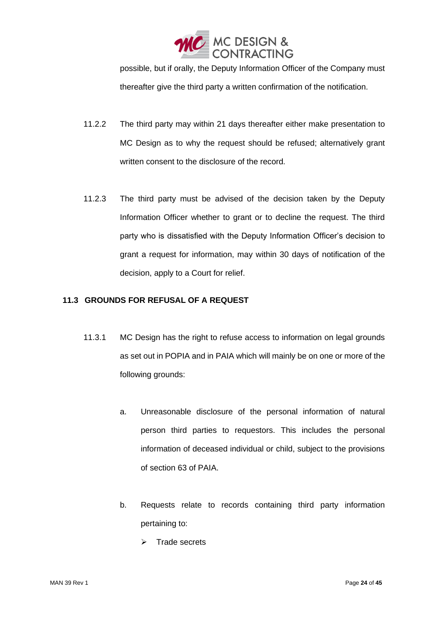

possible, but if orally, the Deputy Information Officer of the Company must thereafter give the third party a written confirmation of the notification.

- 11.2.2 The third party may within 21 days thereafter either make presentation to MC Design as to why the request should be refused; alternatively grant written consent to the disclosure of the record.
- 11.2.3 The third party must be advised of the decision taken by the Deputy Information Officer whether to grant or to decline the request. The third party who is dissatisfied with the Deputy Information Officer's decision to grant a request for information, may within 30 days of notification of the decision, apply to a Court for relief.

#### <span id="page-23-0"></span>**11.3 GROUNDS FOR REFUSAL OF A REQUEST**

- 11.3.1 MC Design has the right to refuse access to information on legal grounds as set out in POPIA and in PAIA which will mainly be on one or more of the following grounds:
	- a. Unreasonable disclosure of the personal information of natural person third parties to requestors. This includes the personal information of deceased individual or child, subject to the provisions of section 63 of PAIA.
	- b. Requests relate to records containing third party information pertaining to:
		- ➢ Trade secrets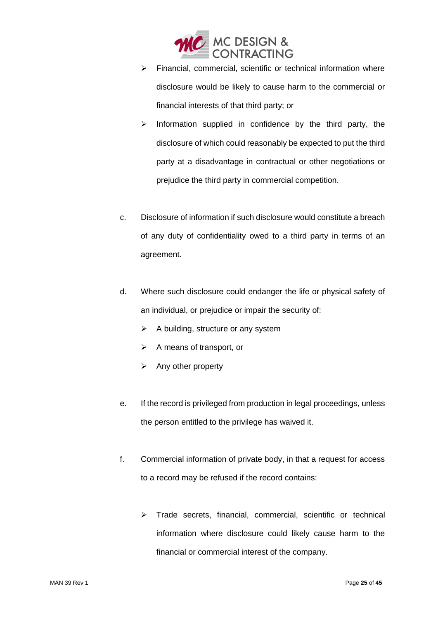

- ➢ Financial, commercial, scientific or technical information where disclosure would be likely to cause harm to the commercial or financial interests of that third party; or
- ➢ Information supplied in confidence by the third party, the disclosure of which could reasonably be expected to put the third party at a disadvantage in contractual or other negotiations or prejudice the third party in commercial competition.
- c. Disclosure of information if such disclosure would constitute a breach of any duty of confidentiality owed to a third party in terms of an agreement.
- d. Where such disclosure could endanger the life or physical safety of an individual, or prejudice or impair the security of:
	- $\triangleright$  A building, structure or any system
	- ➢ A means of transport, or
	- ➢ Any other property
- e. If the record is privileged from production in legal proceedings, unless the person entitled to the privilege has waived it.
- f. Commercial information of private body, in that a request for access to a record may be refused if the record contains:
	- ➢ Trade secrets, financial, commercial, scientific or technical information where disclosure could likely cause harm to the financial or commercial interest of the company.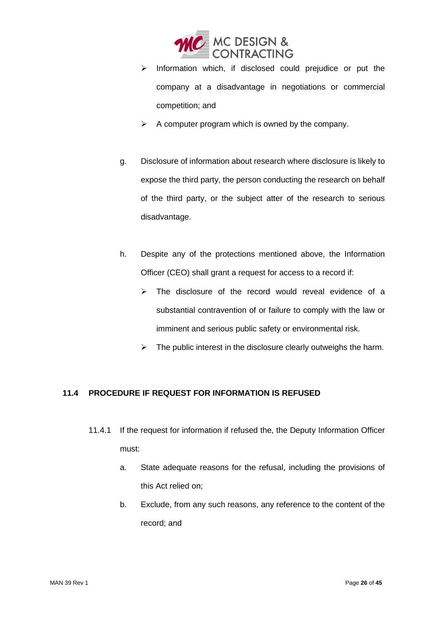

- ➢ Information which, if disclosed could prejudice or put the company at a disadvantage in negotiations or commercial competition; and
- $\triangleright$  A computer program which is owned by the company.
- g. Disclosure of information about research where disclosure is likely to expose the third party, the person conducting the research on behalf of the third party, or the subject atter of the research to serious disadvantage.
- h. Despite any of the protections mentioned above, the Information Officer (CEO) shall grant a request for access to a record if:
	- ➢ The disclosure of the record would reveal evidence of a substantial contravention of or failure to comply with the law or imminent and serious public safety or environmental risk.
	- $\triangleright$  The public interest in the disclosure clearly outweighs the harm.

### <span id="page-25-0"></span>**11.4 PROCEDURE IF REQUEST FOR INFORMATION IS REFUSED**

- 11.4.1 If the request for information if refused the, the Deputy Information Officer must:
	- a. State adequate reasons for the refusal, including the provisions of this Act relied on;
	- b. Exclude, from any such reasons, any reference to the content of the record; and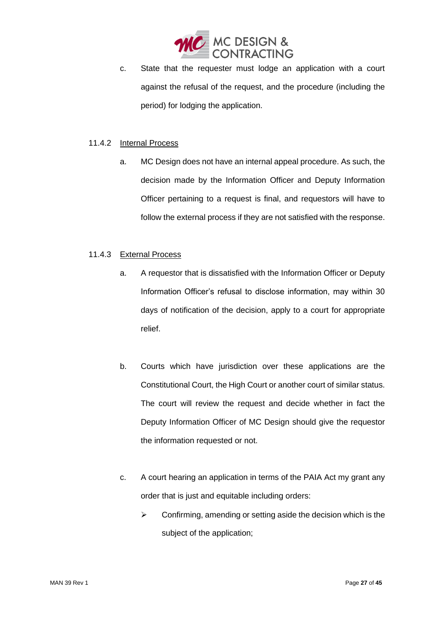

c. State that the requester must lodge an application with a court against the refusal of the request, and the procedure (including the period) for lodging the application.

#### 11.4.2 Internal Process

a. MC Design does not have an internal appeal procedure. As such, the decision made by the Information Officer and Deputy Information Officer pertaining to a request is final, and requestors will have to follow the external process if they are not satisfied with the response.

#### 11.4.3 External Process

- a. A requestor that is dissatisfied with the Information Officer or Deputy Information Officer's refusal to disclose information, may within 30 days of notification of the decision, apply to a court for appropriate relief.
- b. Courts which have jurisdiction over these applications are the Constitutional Court, the High Court or another court of similar status. The court will review the request and decide whether in fact the Deputy Information Officer of MC Design should give the requestor the information requested or not.
- c. A court hearing an application in terms of the PAIA Act my grant any order that is just and equitable including orders:
	- $\triangleright$  Confirming, amending or setting aside the decision which is the subject of the application;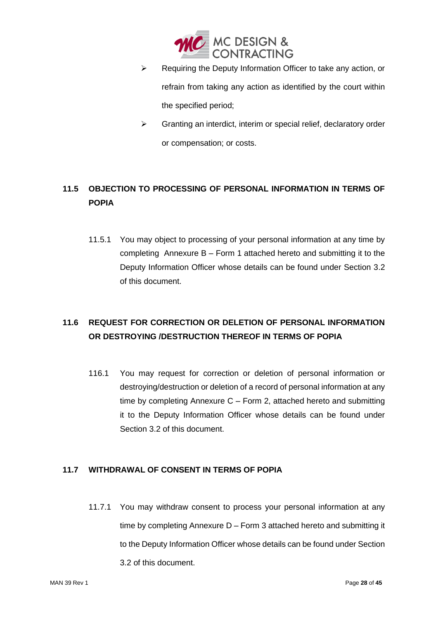

- ➢ Requiring the Deputy Information Officer to take any action, or refrain from taking any action as identified by the court within the specified period;
- ➢ Granting an interdict, interim or special relief, declaratory order or compensation; or costs.

## <span id="page-27-0"></span>**11.5 OBJECTION TO PROCESSING OF PERSONAL INFORMATION IN TERMS OF POPIA**

11.5.1 You may object to processing of your personal information at any time by completing Annexure B – Form 1 attached hereto and submitting it to the Deputy Information Officer whose details can be found under Section 3.2 of this document.

# <span id="page-27-1"></span>**11.6 REQUEST FOR CORRECTION OR DELETION OF PERSONAL INFORMATION OR DESTROYING /DESTRUCTION THEREOF IN TERMS OF POPIA**

116.1 You may request for correction or deletion of personal information or destroying/destruction or deletion of a record of personal information at any time by completing Annexure C – Form 2, attached hereto and submitting it to the Deputy Information Officer whose details can be found under Section 3.2 of this document.

### <span id="page-27-2"></span>**11.7 WITHDRAWAL OF CONSENT IN TERMS OF POPIA**

11.7.1 You may withdraw consent to process your personal information at any time by completing Annexure D – Form 3 attached hereto and submitting it to the Deputy Information Officer whose details can be found under Section 3.2 of this document.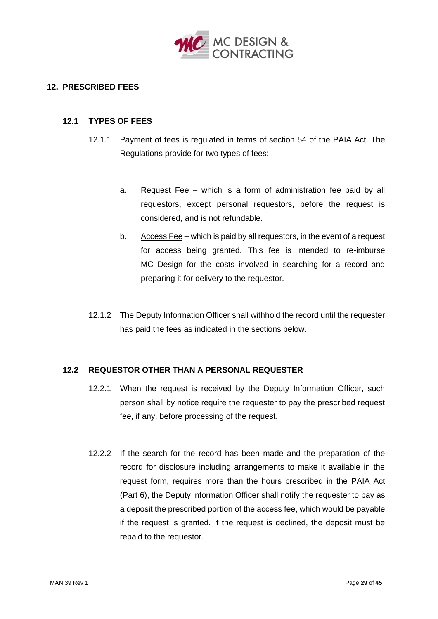

#### <span id="page-28-0"></span>**12. PRESCRIBED FEES**

#### <span id="page-28-1"></span>**12.1 TYPES OF FEES**

- 12.1.1 Payment of fees is regulated in terms of section 54 of the PAIA Act. The Regulations provide for two types of fees:
	- a. Request Fee which is a form of administration fee paid by all requestors, except personal requestors, before the request is considered, and is not refundable.
	- b. Access Fee which is paid by all requestors, in the event of a request for access being granted. This fee is intended to re-imburse MC Design for the costs involved in searching for a record and preparing it for delivery to the requestor.
- 12.1.2 The Deputy Information Officer shall withhold the record until the requester has paid the fees as indicated in the sections below.

#### <span id="page-28-2"></span>**12.2 REQUESTOR OTHER THAN A PERSONAL REQUESTER**

- 12.2.1 When the request is received by the Deputy Information Officer, such person shall by notice require the requester to pay the prescribed request fee, if any, before processing of the request.
- 12.2.2 If the search for the record has been made and the preparation of the record for disclosure including arrangements to make it available in the request form, requires more than the hours prescribed in the PAIA Act (Part 6), the Deputy information Officer shall notify the requester to pay as a deposit the prescribed portion of the access fee, which would be payable if the request is granted. If the request is declined, the deposit must be repaid to the requestor.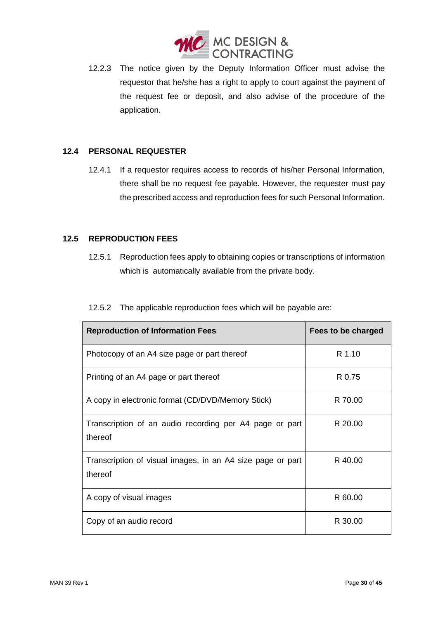

12.2.3 The notice given by the Deputy Information Officer must advise the requestor that he/she has a right to apply to court against the payment of the request fee or deposit, and also advise of the procedure of the application.

#### <span id="page-29-0"></span>**12.4 PERSONAL REQUESTER**

12.4.1 If a requestor requires access to records of his/her Personal Information, there shall be no request fee payable. However, the requester must pay the prescribed access and reproduction fees for such Personal Information.

#### <span id="page-29-1"></span>**12.5 REPRODUCTION FEES**

12.5.1 Reproduction fees apply to obtaining copies or transcriptions of information which is automatically available from the private body.

| 12.5.2 The applicable reproduction fees which will be payable are: |  |
|--------------------------------------------------------------------|--|
|                                                                    |  |

| <b>Reproduction of Information Fees</b>                               | Fees to be charged |
|-----------------------------------------------------------------------|--------------------|
| Photocopy of an A4 size page or part thereof                          | R 1.10             |
| Printing of an A4 page or part thereof                                | R 0.75             |
| A copy in electronic format (CD/DVD/Memory Stick)                     | R 70.00            |
| Transcription of an audio recording per A4 page or part<br>thereof    | R 20.00            |
| Transcription of visual images, in an A4 size page or part<br>thereof | R 40.00            |
| A copy of visual images                                               | R 60.00            |
| Copy of an audio record                                               | R 30.00            |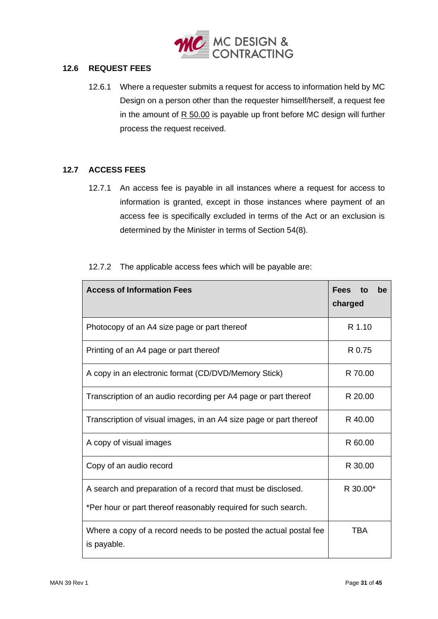

#### <span id="page-30-0"></span>**12.6 REQUEST FEES**

12.6.1 Where a requester submits a request for access to information held by MC Design on a person other than the requester himself/herself, a request fee in the amount of R 50.00 is payable up front before MC design will further process the request received.

#### <span id="page-30-1"></span>**12.7 ACCESS FEES**

12.7.1 An access fee is payable in all instances where a request for access to information is granted, except in those instances where payment of an access fee is specifically excluded in terms of the Act or an exclusion is determined by the Minister in terms of Section 54(8).

| <b>Access of Information Fees</b>                                                       | <b>Fees</b><br>be<br>to<br>charged |  |  |  |
|-----------------------------------------------------------------------------------------|------------------------------------|--|--|--|
| Photocopy of an A4 size page or part thereof                                            | R 1.10                             |  |  |  |
| Printing of an A4 page or part thereof                                                  | R 0.75                             |  |  |  |
| A copy in an electronic format (CD/DVD/Memory Stick)                                    | R 70.00                            |  |  |  |
| Transcription of an audio recording per A4 page or part thereof                         | R 20.00                            |  |  |  |
| Transcription of visual images, in an A4 size page or part thereof                      | R 40.00                            |  |  |  |
| R 60.00<br>A copy of visual images                                                      |                                    |  |  |  |
| Copy of an audio record<br>R 30.00                                                      |                                    |  |  |  |
| R 30.00*<br>A search and preparation of a record that must be disclosed.                |                                    |  |  |  |
| *Per hour or part thereof reasonably required for such search.                          |                                    |  |  |  |
| TBA<br>Where a copy of a record needs to be posted the actual postal fee<br>is payable. |                                    |  |  |  |

#### 12.7.2 The applicable access fees which will be payable are: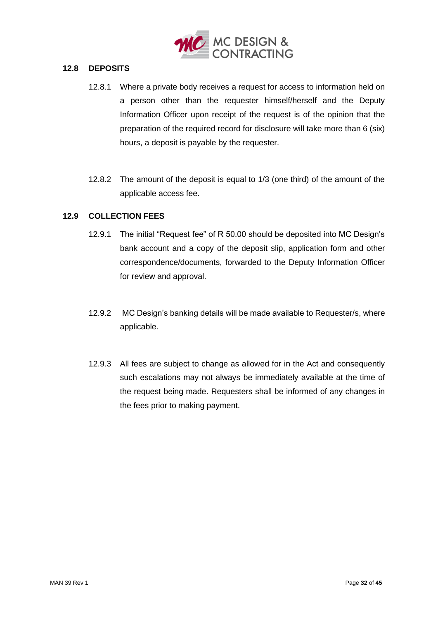

#### <span id="page-31-0"></span>**12.8 DEPOSITS**

- 12.8.1 Where a private body receives a request for access to information held on a person other than the requester himself/herself and the Deputy Information Officer upon receipt of the request is of the opinion that the preparation of the required record for disclosure will take more than 6 (six) hours, a deposit is payable by the requester.
- 12.8.2 The amount of the deposit is equal to 1/3 (one third) of the amount of the applicable access fee.

#### <span id="page-31-1"></span>**12.9 COLLECTION FEES**

- 12.9.1 The initial "Request fee" of R 50.00 should be deposited into MC Design's bank account and a copy of the deposit slip, application form and other correspondence/documents, forwarded to the Deputy Information Officer for review and approval.
- 12.9.2 MC Design's banking details will be made available to Requester/s, where applicable.
- 12.9.3 All fees are subject to change as allowed for in the Act and consequently such escalations may not always be immediately available at the time of the request being made. Requesters shall be informed of any changes in the fees prior to making payment.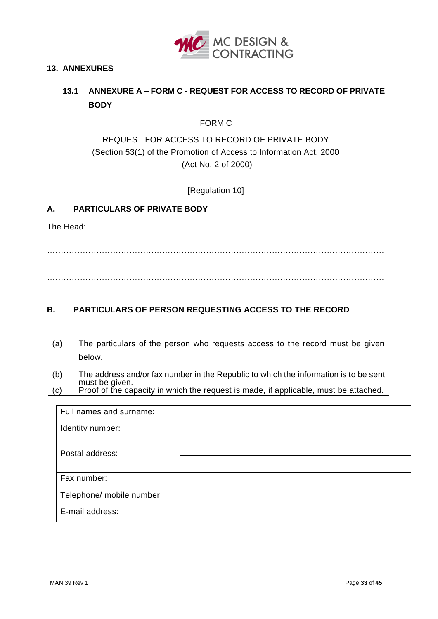

#### <span id="page-32-1"></span><span id="page-32-0"></span>**13. ANNEXURES**

## **13.1 ANNEXURE A – FORM C - REQUEST FOR ACCESS TO RECORD OF PRIVATE BODY**

FORM C

### REQUEST FOR ACCESS TO RECORD OF PRIVATE BODY (Section 53(1) of the Promotion of Access to Information Act, 2000 (Act No. 2 of 2000)

[Regulation 10]

#### **A. PARTICULARS OF PRIVATE BODY**

The Head: ……………………………………………………………………………………………...

. The contract of the contract of the contract of the contract of the contract of the contract of the contract of the contract of the contract of the contract of the contract of the contract of the contract of the contrac ……………………………………………………………………………………………………………

### **B. PARTICULARS OF PERSON REQUESTING ACCESS TO THE RECORD**

- (a) The particulars of the person who requests access to the record must be given below.
- (b) The address and/or fax number in the Republic to which the information is to be sent must be given. (c) Proof of the capacity in which the request is made, if applicable, must be attached.

| Full names and surname:   |  |
|---------------------------|--|
| Identity number:          |  |
| Postal address:           |  |
|                           |  |
| Fax number:               |  |
| Telephone/ mobile number: |  |
| E-mail address:           |  |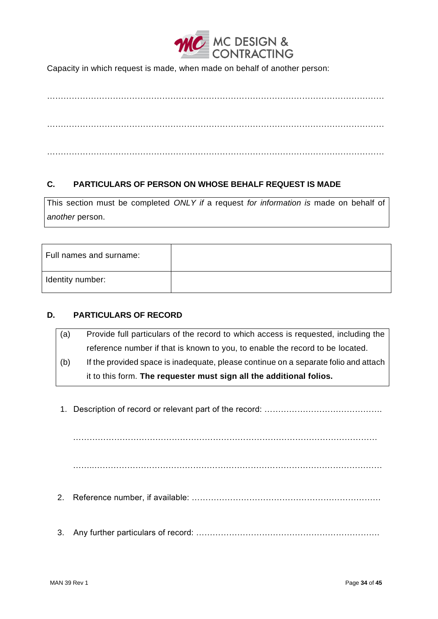

Capacity in which request is made, when made on behalf of another person:

…………………………………………………………………………………………………………… …………………………………………………………………………………………………………… ……………………………………………………………………………………………………………

### **C. PARTICULARS OF PERSON ON WHOSE BEHALF REQUEST IS MADE**

This section must be completed *ONLY if* a request *for information is* made on behalf of *another* person.

| Full names and surname: |  |
|-------------------------|--|
| Identity number:        |  |

#### **D. PARTICULARS OF RECORD**

| (a) | Provide full particulars of the record to which access is requested, including the  |
|-----|-------------------------------------------------------------------------------------|
|     | reference number if that is known to you, to enable the record to be located.       |
| (b) | If the provided space is inadequate, please continue on a separate folio and attach |
|     | it to this form. The requester must sign all the additional folios.                 |

1. Description of record or relevant part of the record: …………………………………….

…………………………………………………………………………………………………

……..……………………………………………………………………………………………

- 2. Reference number, if available: ……………………………………………………………
- 3. Any further particulars of record: ………………………………………………………….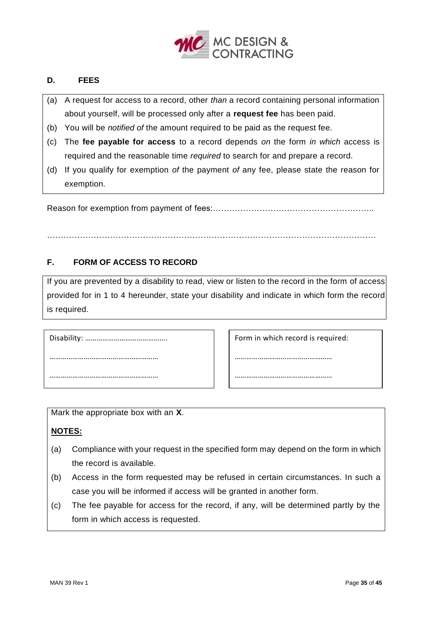

#### **D. FEES**

- (a) A request for access to a record, other *than* a record containing personal information about yourself, will be processed only after a **request fee** has been paid.
- (b) You will be *notified of* the amount required to be paid as the request fee.
- (c) The **fee payable for access** to a record depends *on* the form *in which* access is required and the reasonable time *required* to search for and prepare a record.
- (d) If you qualify for exemption *of* the payment *of* any fee, please state the reason for exemption.

Reason for exemption from payment of fees:…………………………………………………..

…………………………………………………………………………………………………………

#### **F. FORM OF ACCESS TO RECORD**

If you are prevented by a disability to read, view or listen to the record in the form of access provided for in 1 to 4 hereunder, state your disability and indicate in which form the record is required.

Disability: ……………………………………. ………………………………………………… …………………………………………………

Form in which record is required:

……………………………………………

……………………………………………

Mark the appropriate box with an **X**.

#### **NOTES:** …………………………………………………

- (a) Compliance with your request in the specified form may depend on the form in which the record is available.
- (b) Access in the form requested may be refused in certain circumstances. In such a case you will be informed if access will be granted in another form.
- (c) The fee payable for access for the record, if any, will be determined partly by the form in which access is requested.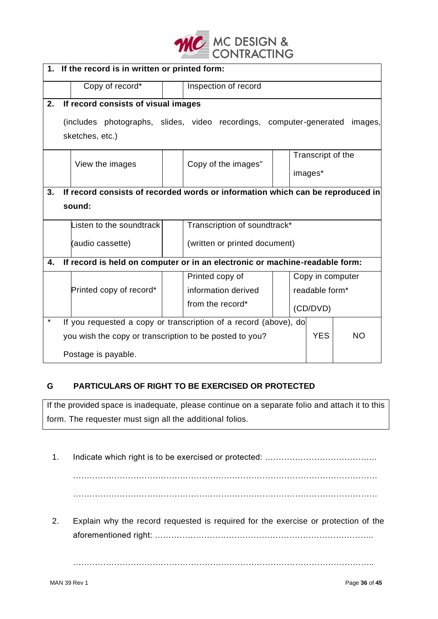

|         | 1. If the record is in written or printed form:                                        |                                                                                |  |                               |  |         |                              |                  |
|---------|----------------------------------------------------------------------------------------|--------------------------------------------------------------------------------|--|-------------------------------|--|---------|------------------------------|------------------|
|         |                                                                                        | Copy of record*                                                                |  | Inspection of record          |  |         |                              |                  |
| 2.      |                                                                                        | If record consists of visual images                                            |  |                               |  |         |                              |                  |
|         | (includes photographs, slides, video recordings, computer-generated<br>sketches, etc.) |                                                                                |  |                               |  | images, |                              |                  |
|         |                                                                                        | View the images                                                                |  | Copy of the images"           |  |         | Transcript of the<br>images* |                  |
| 3.      |                                                                                        | If record consists of recorded words or information which can be reproduced in |  |                               |  |         |                              |                  |
|         |                                                                                        | sound:                                                                         |  |                               |  |         |                              |                  |
|         |                                                                                        | Listen to the soundtrack                                                       |  | Transcription of soundtrack*  |  |         |                              |                  |
|         |                                                                                        | (audio cassette)                                                               |  | (written or printed document) |  |         |                              |                  |
| 4.      | If record is held on computer or in an electronic or machine-readable form:            |                                                                                |  |                               |  |         |                              |                  |
|         |                                                                                        |                                                                                |  | Printed copy of               |  |         |                              | Copy in computer |
|         |                                                                                        | Printed copy of record*                                                        |  | information derived           |  |         | readable form*               |                  |
|         |                                                                                        |                                                                                |  | from the record*              |  |         | (CD/DVD)                     |                  |
| $\star$ | If you requested a copy or transcription of a record (above), do                       |                                                                                |  |                               |  |         |                              |                  |
|         | <b>YES</b><br><b>NO</b><br>you wish the copy or transcription to be posted to you?     |                                                                                |  |                               |  |         |                              |                  |
|         | Postage is payable.                                                                    |                                                                                |  |                               |  |         |                              |                  |

### **G PARTICULARS OF RIGHT TO BE EXERCISED OR PROTECTED**

If the provided space is inadequate, please continue on a separate folio and attach it to this form. The requester must sign all the additional folios.

1. Indicate which right is to be exercised or protected: …………………………………..

………………………………………………………………………………………………… …………………………………………………………………………………………………

2. Explain why the record requested is required for the exercise or protection of the aforementioned right: ……………………………………………………………………..

………………………………………………………………………………………………..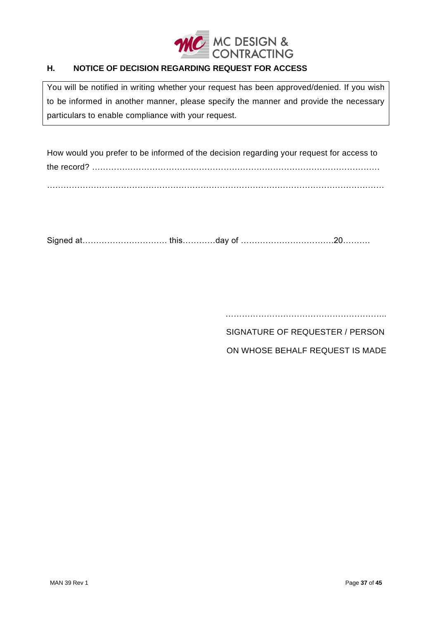

#### Η. **H. NOTICE OF DECISION REGARDING REQUEST FOR ACCESS**

You will be notified in writing whether your request has been approved/denied. If you wish to be informed in another manner, please specify the manner and provide the necessary particulars to enable compliance with your request.

How would you prefer to be informed of the decision regarding your request for access to the record? …………………………………………………………………………………………… ……………………………………………………………………………………………………………

Signed at…………………………. this…………day of …………………………….20……….

……………………………………………………………………

SIGNATURE OF REQUESTER / PERSON

ON WHOSE BEHALF REQUEST IS MADE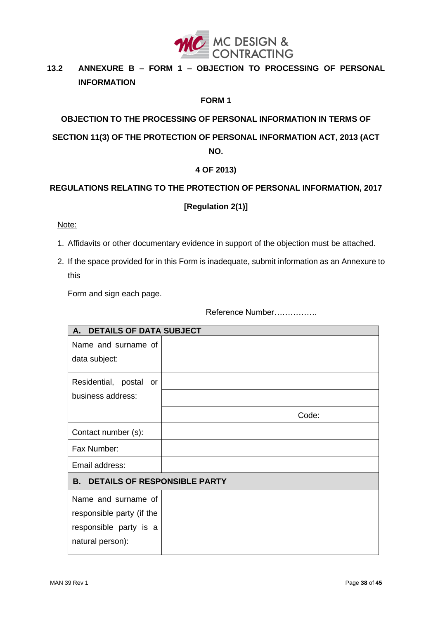

#### <span id="page-37-0"></span> $13.2$ **13.2 ANNEXURE B – FORM 1 – OBJECTION TO PROCESSING OF PERSONAL INFORMATION**

#### **FORM 1**

**OBJECTION TO THE PROCESSING OF PERSONAL INFORMATION IN TERMS OF SECTION 11(3) OF THE PROTECTION OF PERSONAL INFORMATION ACT, 2013 (ACT NO.**

#### **4 OF 2013)**

### **REGULATIONS RELATING TO THE PROTECTION OF PERSONAL INFORMATION, 2017**

#### **[Regulation 2(1)]**

Note:

- 1. Affidavits or other documentary evidence in support of the objection must be attached.
- 2. If the space provided for in this Form is inadequate, submit information as an Annexure to this

Form and sign each page.

Reference Number…………….

| <b>DETAILS OF DATA SUBJECT</b><br>A.             |       |
|--------------------------------------------------|-------|
| Name and surname of                              |       |
| data subject:                                    |       |
|                                                  |       |
| Residential, postal or                           |       |
| business address:                                |       |
|                                                  | Code: |
| Contact number (s):                              |       |
| Fax Number:                                      |       |
| Email address:                                   |       |
| <b>B.</b><br><b>DETAILS OF RESPONSIBLE PARTY</b> |       |
| Name and surname of                              |       |
| responsible party (if the                        |       |
| responsible party is a                           |       |
| natural person):                                 |       |
|                                                  |       |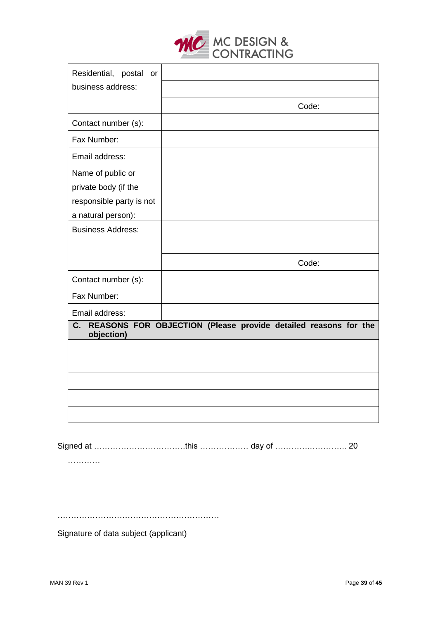

| Residential, postal or   |                                                                |
|--------------------------|----------------------------------------------------------------|
| business address:        |                                                                |
|                          | Code:                                                          |
| Contact number (s):      |                                                                |
| Fax Number:              |                                                                |
| Email address:           |                                                                |
| Name of public or        |                                                                |
| private body (if the     |                                                                |
| responsible party is not |                                                                |
| a natural person):       |                                                                |
| <b>Business Address:</b> |                                                                |
|                          |                                                                |
|                          | Code:                                                          |
| Contact number (s):      |                                                                |
| Fax Number:              |                                                                |
| Email address:           |                                                                |
| C.<br>objection)         | REASONS FOR OBJECTION (Please provide detailed reasons for the |
|                          |                                                                |
|                          |                                                                |
|                          |                                                                |
|                          |                                                                |
|                          |                                                                |
|                          |                                                                |

Signed at …………………………….this ……………… day of ………….………….. 20

…………

……………………………………………………

Signature of data subject (applicant)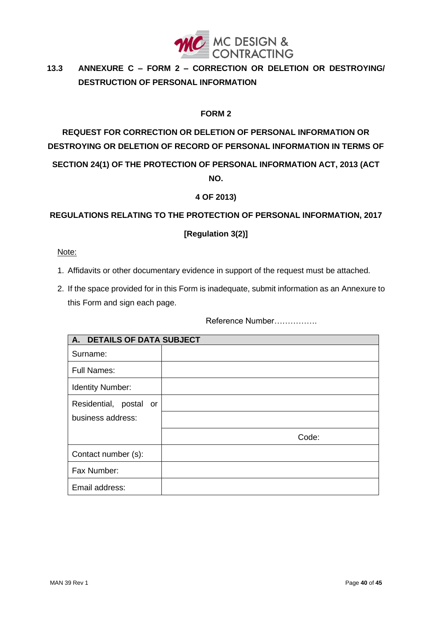

#### <span id="page-39-0"></span> $13.3$ **13.3 ANNEXURE C – FORM 2 – CORRECTION OR DELETION OR DESTROYING/ DESTRUCTION OF PERSONAL INFORMATION**

#### **FORM 2**

# **REQUEST FOR CORRECTION OR DELETION OF PERSONAL INFORMATION OR DESTROYING OR DELETION OF RECORD OF PERSONAL INFORMATION IN TERMS OF SECTION 24(1) OF THE PROTECTION OF PERSONAL INFORMATION ACT, 2013 (ACT NO.**

#### **4 OF 2013)**

#### **REGULATIONS RELATING TO THE PROTECTION OF PERSONAL INFORMATION, 2017**

#### **[Regulation 3(2)]**

#### Note:

- 1. Affidavits or other documentary evidence in support of the request must be attached.
- 2. If the space provided for in this Form is inadequate, submit information as an Annexure to this Form and sign each page.

Reference Number…………….

| <b>DETAILS OF DATA SUBJECT</b><br>A. |       |  |
|--------------------------------------|-------|--|
| Surname:                             |       |  |
| <b>Full Names:</b>                   |       |  |
| <b>Identity Number:</b>              |       |  |
| Residential, postal or               |       |  |
| business address:                    |       |  |
|                                      | Code: |  |
| Contact number (s):                  |       |  |
| Fax Number:                          |       |  |
| Email address:                       |       |  |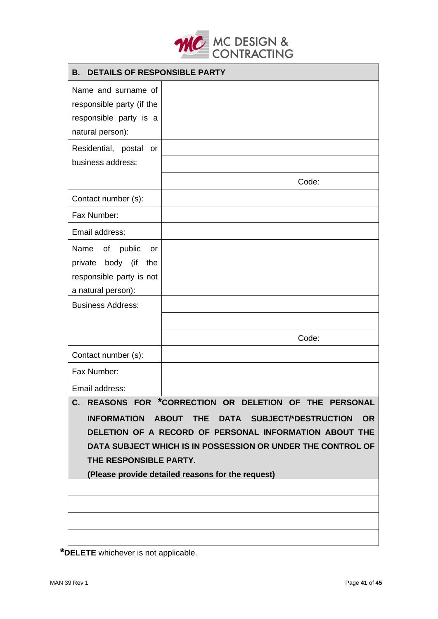

| <b>B. DETAILS OF RESPONSIBLE PARTY</b> |  |  |  |
|----------------------------------------|--|--|--|
| Name and surname of                    |  |  |  |

| Name and surname of                                         |                                                                                       |  |
|-------------------------------------------------------------|---------------------------------------------------------------------------------------|--|
| responsible party (if the                                   |                                                                                       |  |
| responsible party is a                                      |                                                                                       |  |
| natural person):                                            |                                                                                       |  |
| Residential, postal<br>or                                   |                                                                                       |  |
| business address:                                           |                                                                                       |  |
|                                                             | Code:                                                                                 |  |
| Contact number (s):                                         |                                                                                       |  |
| Fax Number:                                                 |                                                                                       |  |
| Email address:                                              |                                                                                       |  |
| Name<br>of<br>public<br>or                                  |                                                                                       |  |
| body (if<br>private<br>the                                  |                                                                                       |  |
| responsible party is not                                    |                                                                                       |  |
| a natural person):                                          |                                                                                       |  |
| <b>Business Address:</b>                                    |                                                                                       |  |
|                                                             |                                                                                       |  |
|                                                             | Code:                                                                                 |  |
| Contact number (s):                                         |                                                                                       |  |
| Fax Number:                                                 |                                                                                       |  |
| Email address:                                              |                                                                                       |  |
| C.                                                          | REASONS FOR *CORRECTION OR DELETION OF THE<br><b>PERSONAL</b>                         |  |
| <b>INFORMATION</b>                                          | <b>SUBJECT/*DESTRUCTION</b><br><b>ABOUT</b><br><b>THE</b><br><b>OR</b><br><b>DATA</b> |  |
|                                                             | DELETION OF A RECORD OF PERSONAL INFORMATION ABOUT THE                                |  |
| DATA SUBJECT WHICH IS IN POSSESSION OR UNDER THE CONTROL OF |                                                                                       |  |
| THE RESPONSIBLE PARTY.                                      |                                                                                       |  |
| (Please provide detailed reasons for the request)           |                                                                                       |  |
|                                                             |                                                                                       |  |
|                                                             |                                                                                       |  |
|                                                             |                                                                                       |  |
|                                                             |                                                                                       |  |

**\*DELETE** whichever is not applicable.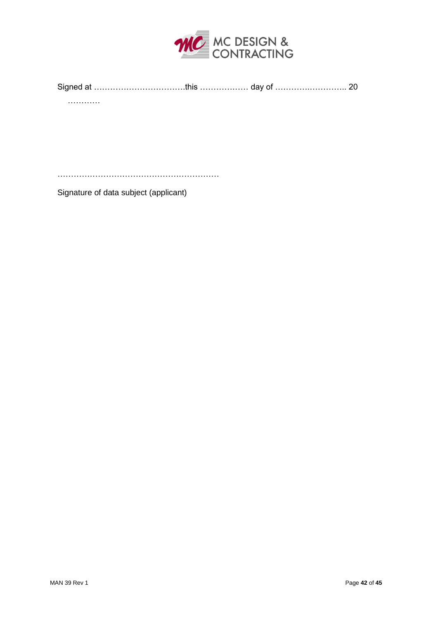

| Signed at ………………………………this ……………… day of ……………………… 20 |  |  |
|-------------------------------------------------------|--|--|
|                                                       |  |  |
| .                                                     |  |  |



Signature of data subject (applicant)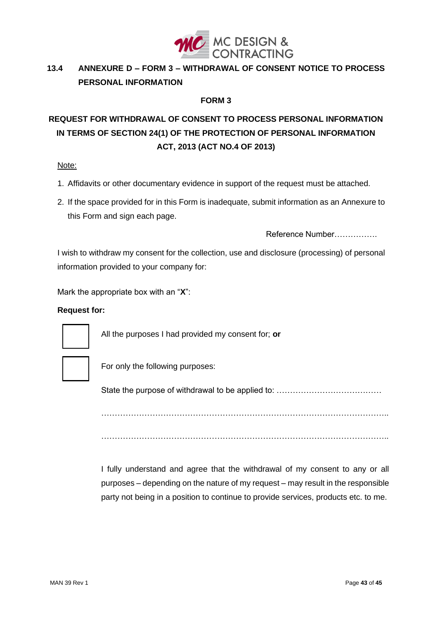

#### <span id="page-42-0"></span> $13.4$ **13.4 ANNEXURE D – FORM 3 – WITHDRAWAL OF CONSENT NOTICE TO PROCESS PERSONAL INFORMATION**

#### **FORM 3**

# **REQUEST FOR WITHDRAWAL OF CONSENT TO PROCESS PERSONAL INFORMATION IN TERMS OF SECTION 24(1) OF THE PROTECTION OF PERSONAL INFORMATION ACT, 2013 (ACT NO.4 OF 2013)**

#### Note:

- 1. Affidavits or other documentary evidence in support of the request must be attached.
- 2. If the space provided for in this Form is inadequate, submit information as an Annexure to this Form and sign each page.

Reference Number…………….

I wish to withdraw my consent for the collection, use and disclosure (processing) of personal information provided to your company for:

Mark the appropriate box with an "**X**":

#### **Request for:**



All the purposes I had provided my consent for; **or**



For only the following purposes:

State the purpose of withdrawal to be applied to: …………………………………

…………………………………………………………………………………………….. ……………………………………………………………………………………………..

I fully understand and agree that the withdrawal of my consent to any or all purposes – depending on the nature of my request – may result in the responsible party not being in a position to continue to provide services, products etc. to me.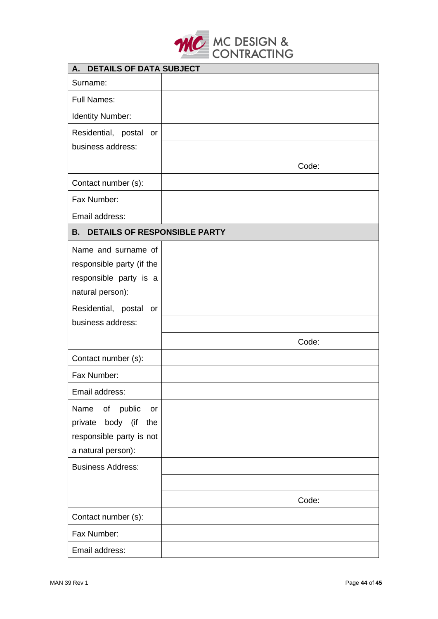

| <b>DETAILS OF DATA SUBJECT</b><br>A.      |       |  |
|-------------------------------------------|-------|--|
| Surname:                                  |       |  |
| <b>Full Names:</b>                        |       |  |
| Identity Number:                          |       |  |
| Residential, postal<br>or                 |       |  |
| business address:                         |       |  |
|                                           | Code: |  |
| Contact number (s):                       |       |  |
| Fax Number:                               |       |  |
| Email address:                            |       |  |
| <b>DETAILS OF RESPONSIBLE PARTY</b><br>В. |       |  |
| Name and surname of                       |       |  |
| responsible party (if the                 |       |  |
| responsible party is a                    |       |  |
| natural person):                          |       |  |
| Residential, postal or                    |       |  |
| business address:                         |       |  |
|                                           | Code: |  |
| Contact number (s):                       |       |  |
| Fax Number:                               |       |  |
| Email address:                            |       |  |
| public<br>Name<br>of<br><b>or</b>         |       |  |
| body (if<br>private<br>the                |       |  |
| responsible party is not                  |       |  |
| a natural person):                        |       |  |
| <b>Business Address:</b>                  |       |  |
|                                           |       |  |
|                                           | Code: |  |
| Contact number (s):                       |       |  |
| Fax Number:                               |       |  |
| Email address:                            |       |  |